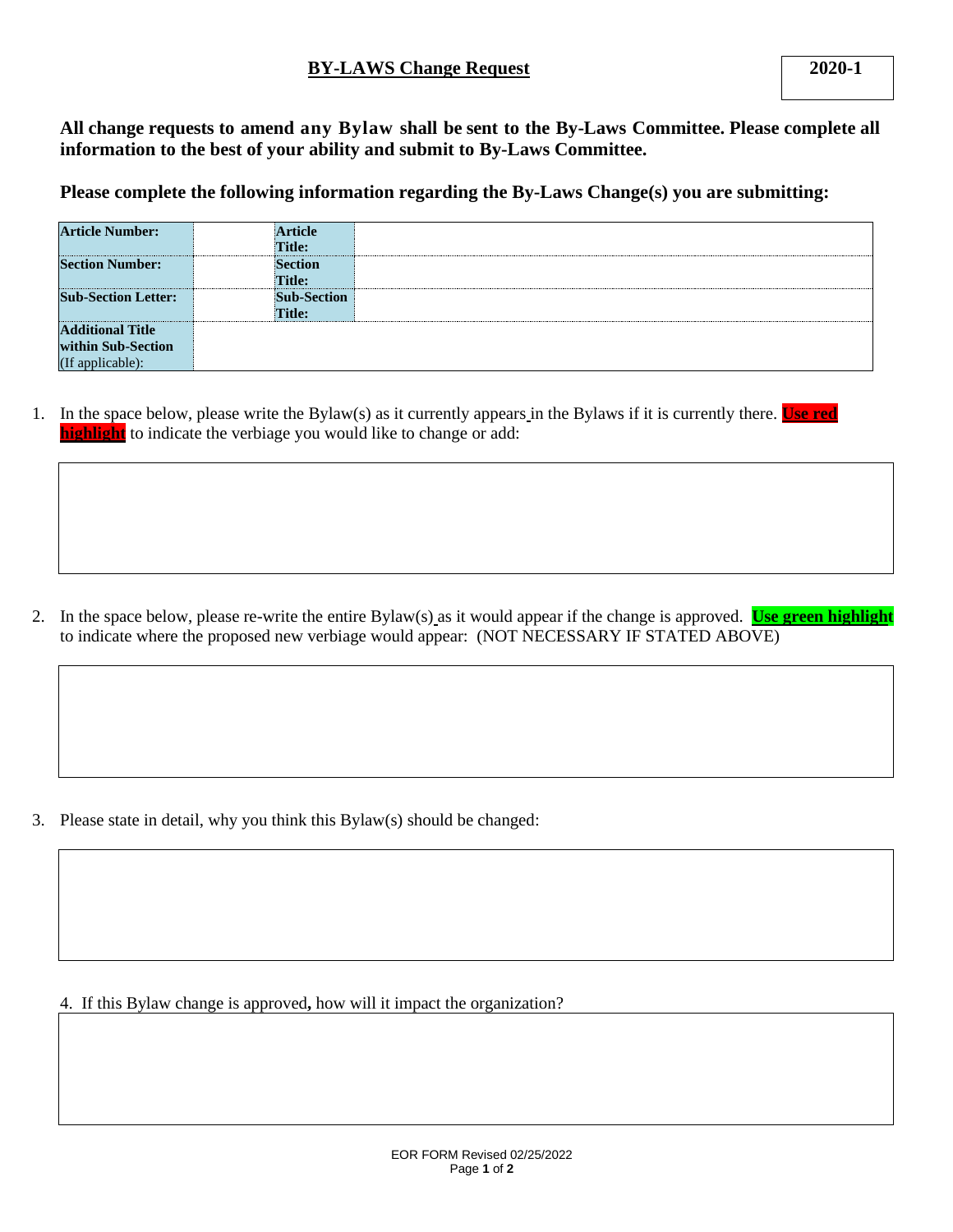**All change requests to amend any Bylaw shall be sent to the By-Laws Committee. Please complete all information to the best of your ability and submit to By-Laws Committee.**

**Please complete the following information regarding the By-Laws Change(s) you are submitting:**

| <b>Article Number:</b>     | Article            |  |
|----------------------------|--------------------|--|
|                            | Title:             |  |
| <b>Section Number:</b>     | <b>Section</b>     |  |
|                            | Title:             |  |
| <b>Sub-Section Letter:</b> | <b>Sub-Section</b> |  |
|                            | Title:             |  |
| <b>Additional Title</b>    |                    |  |
| within Sub-Section         |                    |  |
| (If applicable):           |                    |  |

1. In the space below, please write the Bylaw(s) as it currently appears in the Bylaws if it is currently there. **Use red highlight** to indicate the verbiage you would like to change or add:

2. In the space below, please re-write the entire Bylaw(s) as it would appear if the change is approved. **Use green highlight** to indicate where the proposed new verbiage would appear: (NOT NECESSARY IF STATED ABOVE)

3. Please state in detail, why you think this Bylaw(s) should be changed:

4. If this Bylaw change is approved**,** how will it impact the organization?